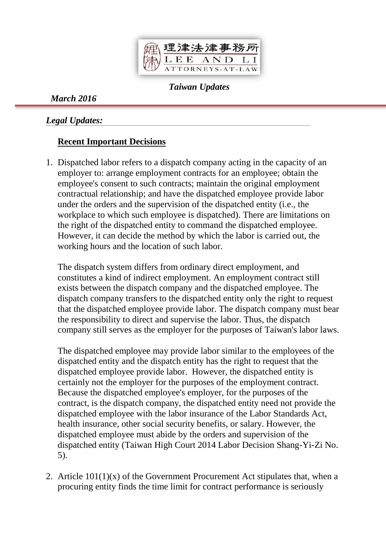

*Taiwan Updates*

*March 2016*

*Legal Updates:*

# **Recent Important Decisions**

1. Dispatched labor refers to a dispatch company acting in the capacity of an employer to: arrange employment contracts for an employee; obtain the employee's consent to such contracts; maintain the original employment contractual relationship; and have the dispatched employee provide labor under the orders and the supervision of the dispatched entity (i.e., the workplace to which such employee is dispatched). There are limitations on the right of the dispatched entity to command the dispatched employee. However, it can decide the method by which the labor is carried out, the working hours and the location of such labor.

The dispatch system differs from ordinary direct employment, and constitutes a kind of indirect employment. An employment contract still exists between the dispatch company and the dispatched employee. The dispatch company transfers to the dispatched entity only the right to request that the dispatched employee provide labor. The dispatch company must bear the responsibility to direct and supervise the labor. Thus, the dispatch company still serves as the employer for the purposes of Taiwan's labor laws.

The dispatched employee may provide labor similar to the employees of the dispatched entity and the dispatch entity has the right to request that the dispatched employee provide labor. However, the dispatched entity is certainly not the employer for the purposes of the employment contract. Because the dispatched employee's employer, for the purposes of the contract, is the dispatch company, the dispatched entity need not provide the dispatched employee with the labor insurance of the Labor Standards Act, health insurance, other social security benefits, or salary. However, the dispatched employee must abide by the orders and supervision of the dispatched entity (Taiwan High Court 2014 Labor Decision Shang-Yi-Zi No. 5).

2. Article  $101(1)(x)$  of the Government Procurement Act stipulates that, when a procuring entity finds the time limit for contract performance is seriously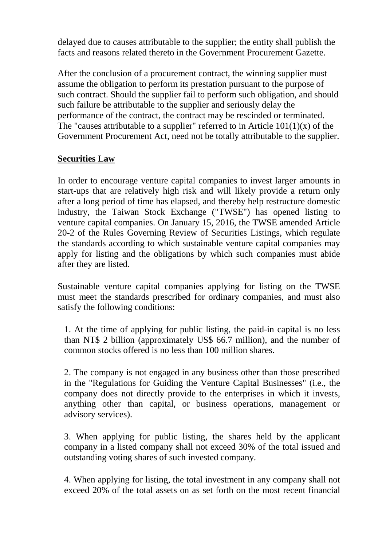delayed due to causes attributable to the supplier; the entity shall publish the facts and reasons related thereto in the Government Procurement Gazette.

After the conclusion of a procurement contract, the winning supplier must assume the obligation to perform its prestation pursuant to the purpose of such contract. Should the supplier fail to perform such obligation, and should such failure be attributable to the supplier and seriously delay the performance of the contract, the contract may be rescinded or terminated. The "causes attributable to a supplier" referred to in Article  $101(1)(x)$  of the Government Procurement Act, need not be totally attributable to the supplier.

## **Securities Law**

In order to encourage venture capital companies to invest larger amounts in start-ups that are relatively high risk and will likely provide a return only after a long period of time has elapsed, and thereby help restructure domestic industry, the Taiwan Stock Exchange ("TWSE") has opened listing to venture capital companies. On January 15, 2016, the TWSE amended Article 20-2 of the Rules Governing Review of Securities Listings, which regulate the standards according to which sustainable venture capital companies may apply for listing and the obligations by which such companies must abide after they are listed.

Sustainable venture capital companies applying for listing on the TWSE must meet the standards prescribed for ordinary companies, and must also satisfy the following conditions:

1. At the time of applying for public listing, the paid-in capital is no less than NT\$ 2 billion (approximately US\$ 66.7 million), and the number of common stocks offered is no less than 100 million shares.

2. The company is not engaged in any business other than those prescribed in the "Regulations for Guiding the Venture Capital Businesses" (i.e., the company does not directly provide to the enterprises in which it invests, anything other than capital, or business operations, management or advisory services).

3. When applying for public listing, the shares held by the applicant company in a listed company shall not exceed 30% of the total issued and outstanding voting shares of such invested company.

4. When applying for listing, the total investment in any company shall not exceed 20% of the total assets on as set forth on the most recent financial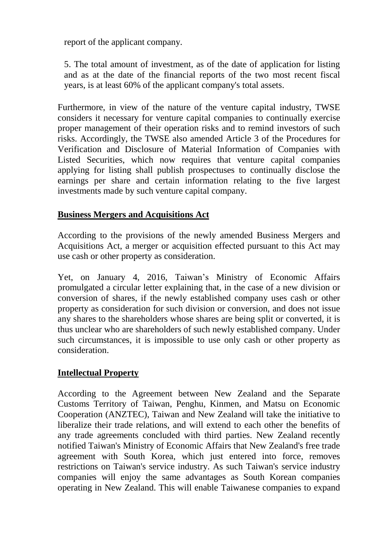report of the applicant company.

5. The total amount of investment, as of the date of application for listing and as at the date of the financial reports of the two most recent fiscal years, is at least 60% of the applicant company's total assets.

Furthermore, in view of the nature of the venture capital industry, TWSE considers it necessary for venture capital companies to continually exercise proper management of their operation risks and to remind investors of such risks. Accordingly, the TWSE also amended Article 3 of the Procedures for Verification and Disclosure of Material Information of Companies with Listed Securities, which now requires that venture capital companies applying for listing shall publish prospectuses to continually disclose the earnings per share and certain information relating to the five largest investments made by such venture capital company.

### **Business Mergers and Acquisitions Act**

According to the provisions of the newly amended Business Mergers and Acquisitions Act, a merger or acquisition effected pursuant to this Act may use cash or other property as consideration.

Yet, on January 4, 2016, Taiwan's Ministry of Economic Affairs promulgated a circular letter explaining that, in the case of a new division or conversion of shares, if the newly established company uses cash or other property as consideration for such division or conversion, and does not issue any shares to the shareholders whose shares are being split or converted, it is thus unclear who are shareholders of such newly established company. Under such circumstances, it is impossible to use only cash or other property as consideration.

### **Intellectual Property**

According to the Agreement between New Zealand and the Separate Customs Territory of Taiwan, Penghu, Kinmen, and Matsu on Economic Cooperation (ANZTEC), Taiwan and New Zealand will take the initiative to liberalize their trade relations, and will extend to each other the benefits of any trade agreements concluded with third parties. New Zealand recently notified Taiwan's Ministry of Economic Affairs that New Zealand's free trade agreement with South Korea, which just entered into force, removes restrictions on Taiwan's service industry. As such Taiwan's service industry companies will enjoy the same advantages as South Korean companies operating in New Zealand. This will enable Taiwanese companies to expand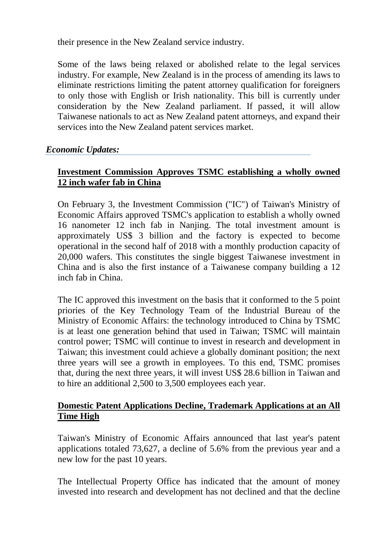their presence in the New Zealand service industry.

Some of the laws being relaxed or abolished relate to the legal services industry. For example, New Zealand is in the process of amending its laws to eliminate restrictions limiting the patent attorney qualification for foreigners to only those with English or Irish nationality. This bill is currently under consideration by the New Zealand parliament. If passed, it will allow Taiwanese nationals to act as New Zealand patent attorneys, and expand their services into the New Zealand patent services market.

### *Economic Updates:*

## **Investment Commission Approves TSMC establishing a wholly owned 12 inch wafer fab in China**

On February 3, the Investment Commission ("IC") of Taiwan's Ministry of Economic Affairs approved TSMC's application to establish a wholly owned 16 nanometer 12 inch fab in Nanjing. The total investment amount is approximately US\$ 3 billion and the factory is expected to become operational in the second half of 2018 with a monthly production capacity of 20,000 wafers. This constitutes the single biggest Taiwanese investment in China and is also the first instance of a Taiwanese company building a 12 inch fab in China.

The IC approved this investment on the basis that it conformed to the 5 point priories of the Key Technology Team of the Industrial Bureau of the Ministry of Economic Affairs: the technology introduced to China by TSMC is at least one generation behind that used in Taiwan; TSMC will maintain control power; TSMC will continue to invest in research and development in Taiwan; this investment could achieve a globally dominant position; the next three years will see a growth in employees. To this end, TSMC promises that, during the next three years, it will invest US\$ 28.6 billion in Taiwan and to hire an additional 2,500 to 3,500 employees each year.

### **Domestic Patent Applications Decline, Trademark Applications at an All Time High**

Taiwan's Ministry of Economic Affairs announced that last year's patent applications totaled 73,627, a decline of 5.6% from the previous year and a new low for the past 10 years.

The Intellectual Property Office has indicated that the amount of money invested into research and development has not declined and that the decline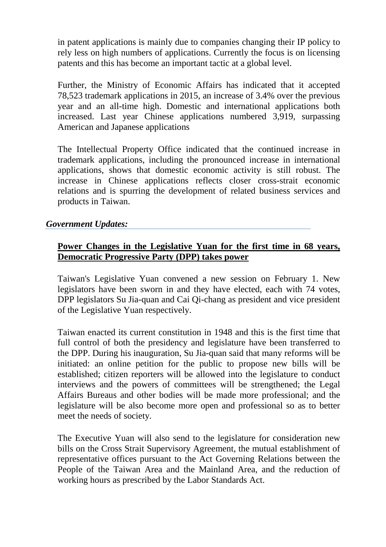in patent applications is mainly due to companies changing their IP policy to rely less on high numbers of applications. Currently the focus is on licensing patents and this has become an important tactic at a global level.

Further, the Ministry of Economic Affairs has indicated that it accepted 78,523 trademark applications in 2015, an increase of 3.4% over the previous year and an all-time high. Domestic and international applications both increased. Last year Chinese applications numbered 3,919, surpassing American and Japanese applications

The Intellectual Property Office indicated that the continued increase in trademark applications, including the pronounced increase in international applications, shows that domestic economic activity is still robust. The increase in Chinese applications reflects closer cross-strait economic relations and is spurring the development of related business services and products in Taiwan.

#### *Government Updates:*

#### **Power Changes in the Legislative Yuan for the first time in 68 years, Democratic Progressive Party (DPP) takes power**

Taiwan's Legislative Yuan convened a new session on February 1. New legislators have been sworn in and they have elected, each with 74 votes, DPP legislators Su Jia-quan and Cai Qi-chang as president and vice president of the Legislative Yuan respectively.

Taiwan enacted its current constitution in 1948 and this is the first time that full control of both the presidency and legislature have been transferred to the DPP. During his inauguration, Su Jia-quan said that many reforms will be initiated: an online petition for the public to propose new bills will be established; citizen reporters will be allowed into the legislature to conduct interviews and the powers of committees will be strengthened; the Legal Affairs Bureaus and other bodies will be made more professional; and the legislature will be also become more open and professional so as to better meet the needs of society.

The Executive Yuan will also send to the legislature for consideration new bills on the Cross Strait Supervisory Agreement, the mutual establishment of representative offices pursuant to the Act Governing Relations between the People of the Taiwan Area and the Mainland Area, and the reduction of working hours as prescribed by the Labor Standards Act.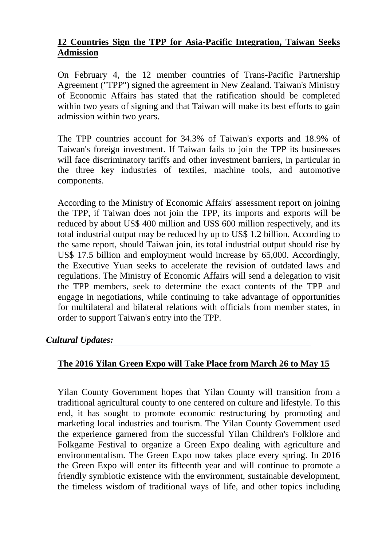## **12 Countries Sign the TPP for Asia-Pacific Integration, Taiwan Seeks Admission**

On February 4, the 12 member countries of Trans-Pacific Partnership Agreement ("TPP") signed the agreement in New Zealand. Taiwan's Ministry of Economic Affairs has stated that the ratification should be completed within two years of signing and that Taiwan will make its best efforts to gain admission within two years.

The TPP countries account for 34.3% of Taiwan's exports and 18.9% of Taiwan's foreign investment. If Taiwan fails to join the TPP its businesses will face discriminatory tariffs and other investment barriers, in particular in the three key industries of textiles, machine tools, and automotive components.

According to the Ministry of Economic Affairs' assessment report on joining the TPP, if Taiwan does not join the TPP, its imports and exports will be reduced by about US\$ 400 million and US\$ 600 million respectively, and its total industrial output may be reduced by up to US\$ 1.2 billion. According to the same report, should Taiwan join, its total industrial output should rise by US\$ 17.5 billion and employment would increase by 65,000. Accordingly, the Executive Yuan seeks to accelerate the revision of outdated laws and regulations. The Ministry of Economic Affairs will send a delegation to visit the TPP members, seek to determine the exact contents of the TPP and engage in negotiations, while continuing to take advantage of opportunities for multilateral and bilateral relations with officials from member states, in order to support Taiwan's entry into the TPP.

### *Cultural Updates:*

### **The 2016 Yilan Green Expo will Take Place from March 26 to May 15**

Yilan County Government hopes that Yilan County will transition from a traditional agricultural county to one centered on culture and lifestyle. To this end, it has sought to promote economic restructuring by promoting and marketing local industries and tourism. The Yilan County Government used the experience garnered from the successful Yilan Children's Folklore and Folkgame Festival to organize a Green Expo dealing with agriculture and environmentalism. The Green Expo now takes place every spring. In 2016 the Green Expo will enter its fifteenth year and will continue to promote a friendly symbiotic existence with the environment, sustainable development, the timeless wisdom of traditional ways of life, and other topics including